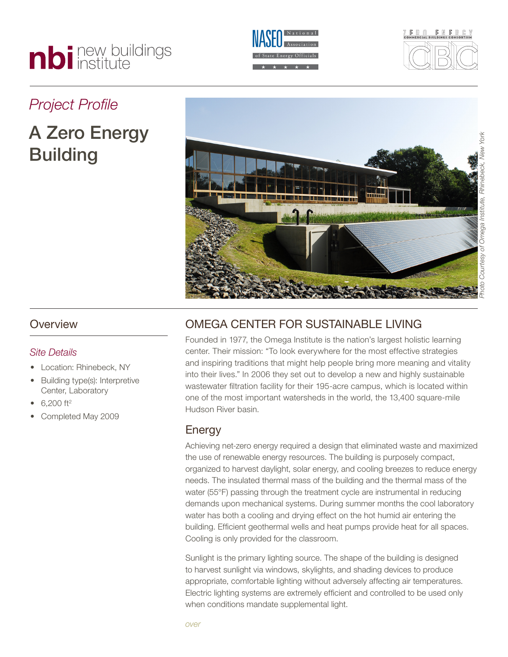# nbi new buildings





# *Project Profile*

# A Zero Energy Building



#### **Overview**

#### *Site Details*

- Location: Rhinebeck, NY
- Building type(s): Interpretive Center, Laboratory
- $6,200$  ft<sup>2</sup>
- Completed May 2009

## OMEGA CENTER FOR SUSTAINABLE LIVING

Founded in 1977, the Omega Institute is the nation's largest holistic learning center. Their mission: "To look everywhere for the most effective strategies and inspiring traditions that might help people bring more meaning and vitality into their lives." In 2006 they set out to develop a new and highly sustainable wastewater filtration facility for their 195-acre campus, which is located within one of the most important watersheds in the world, the 13,400 square-mile Hudson River basin.

### Energy

Achieving net-zero energy required a design that eliminated waste and maximized the use of renewable energy resources. The building is purposely compact, organized to harvest daylight, solar energy, and cooling breezes to reduce energy needs. The insulated thermal mass of the building and the thermal mass of the water (55°F) passing through the treatment cycle are instrumental in reducing demands upon mechanical systems. During summer months the cool laboratory water has both a cooling and drying effect on the hot humid air entering the building. Efficient geothermal wells and heat pumps provide heat for all spaces. Cooling is only provided for the classroom.

Sunlight is the primary lighting source. The shape of the building is designed to harvest sunlight via windows, skylights, and shading devices to produce appropriate, comfortable lighting without adversely affecting air temperatures. Electric lighting systems are extremely efficient and controlled to be used only when conditions mandate supplemental light.